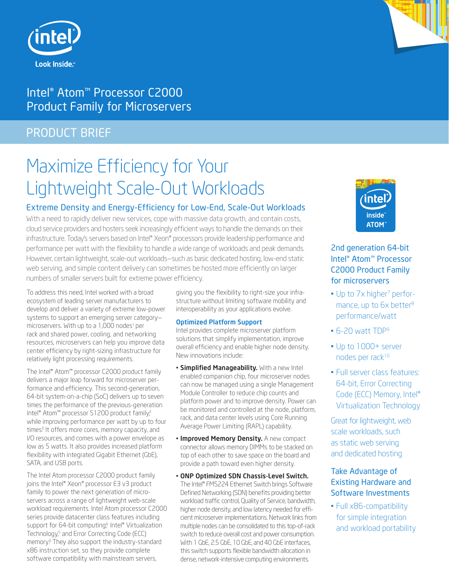



# Intel® Atom™ Processor C2000 Product Family for Microservers

# PRODUCT BRIEF

# Maximize Efficiency for Your Lightweight Scale-Out Workloads

## Extreme Density and Energy-Efficiency for Low-End, Scale-Out Workloads

With a need to rapidly deliver new services, cope with massive data growth, and contain costs, cloud service providers and hosters seek increasingly efficient ways to handle the demands on their infrastructure. Today's servers based on Intel® Xeon® processors provide leadership performance and performance per watt with the flexibility to handle a wide range of workloads and peak demands. However, certain lightweight, scale-out workloads—such as basic dedicated hosting, low-end static web serving, and simple content delivery can sometimes be hosted more efficiently on larger numbers of smaller servers built for extreme power efficiency.

To address this need, Intel worked with a broad ecosystem of leading server manufacturers to develop and deliver a variety of extreme low-power systems to support an emerging server category microservers. With up to a 1,000 nodes<sup>1</sup> per rack and shared power, cooling, and networking resources, microservers can help you improve data center efficiency by right-sizing infrastructure for relatively light processing requirements.

The Intel® Atom™ processor C2000 product family delivers a major leap forward for microserver performance and efficiency. This second-generation, 64-bit system-on-a-chip (SoC) delivers up to seven times the performance of the previous-generation Intel® Atom™ processor S1200 product family? while improving performance per watt by up to four times<sup>3</sup> It offers more cores, memory capacity, and I/O resources, and comes with a power envelope as low as 5 watts. It also provides increased platform flexibility with integrated Gigabit Ethernet (GbE), SATA, and USB ports.

The Intel Atom processor C2000 product family joins the Intel® Xeon® processor E3 v3 product family to power the next generation of microservers across a range of lightweight web-scale workload requirements. Intel Atom processor C2000 series provide datacenter class features including support for 64-bit computing<sup>4</sup> Intel® Virtualization Technology,<sup>5</sup> and Error Correcting Code (ECC) memory.6 They also support the industry-standard x86 instruction set, so they provide complete software compatibility with mainstream servers,

giving you the flexibility to right-size your infrastructure without limiting software mobility and interoperability as your applications evolve.

#### Optimized Platform Support

Intel provides complete microserver platform solutions that simplify implementation, improve overall efficiency and enable higher node density. New innovations include:

- **· Simplified Manageability.** With a new Intel enabled companion chip, four microserver nodes can now be managed using a single Management Module Controller to reduce chip counts and platform power and to improve density. Power can be monitored and controlled at the node, platform, rack, and data center levels using Core Running Average Power Limiting (RAPL) capability.
- Improved Memory Density. A new compact connector allows memory DIMMs to be stacked on top of each other to save space on the board and provide a path toward even higher density.
- ONP Optimized SDN Chassis-Level Switch. The Intel® FM5224 Ethernet Switch brings Software Defined Networking (SDN) benefits providing better workload traffic control, Quality of Service, bandwidth, higher node density, and low latency needed for efficient microserver implementations. Network links from multiple nodes can be consolidated to this top-of-rack switch to reduce overall cost and power consumption. With 1 GbE, 2.5 GbE, 10 GbE, and 40 GbE interfaces, this switch supports flexible bandwidth allocation in dense, network-intensive computing environments.



## 2nd generation 64-bit Intel® Atom™ Processor C2000 Product Family for microservers

- Up to 7x higher<sup>7</sup> performance, up to 6x better<sup>8</sup> performance/watt
- 6-20 watt TDP<sup>9</sup>
- Up to 1000+ server nodes per rack<sup>10</sup>
- Full server class features: 64-bit, Error Correcting Code (ECC) Memory, Intel® Virtualization Technology

Great for lightweight, web scale workloads, such as static web serving and dedicated hosting

## Take Advantage of Existing Hardware and Software Investments

• Full x86-compatibility for simple integration and workload portability